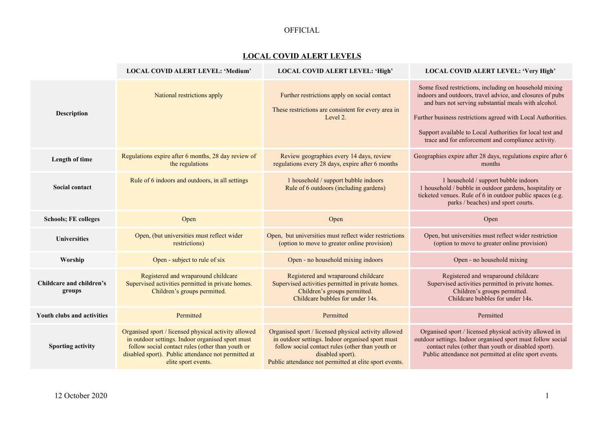## OFFICIAL

## **LOCAL COVID ALERT LEVELS**

|                                    | <b>LOCAL COVID ALERT LEVEL: 'Medium'</b>                                                                                                                                                                                                   | LOCAL COVID ALERT LEVEL: 'High'                                                                                                                                                                                                            | LOCAL COVID ALERT LEVEL: 'Very High'                                                                                                                                                                                                                                                                                                                           |
|------------------------------------|--------------------------------------------------------------------------------------------------------------------------------------------------------------------------------------------------------------------------------------------|--------------------------------------------------------------------------------------------------------------------------------------------------------------------------------------------------------------------------------------------|----------------------------------------------------------------------------------------------------------------------------------------------------------------------------------------------------------------------------------------------------------------------------------------------------------------------------------------------------------------|
| <b>Description</b>                 | National restrictions apply                                                                                                                                                                                                                | Further restrictions apply on social contact<br>These restrictions are consistent for every area in<br>Level 2.                                                                                                                            | Some fixed restrictions, including on household mixing<br>indoors and outdoors, travel advice, and closures of pubs<br>and bars not serving substantial meals with alcohol.<br>Further business restrictions agreed with Local Authorities.<br>Support available to Local Authorities for local test and<br>trace and for enforcement and compliance activity. |
| Length of time                     | Regulations expire after 6 months, 28 day review of<br>the regulations                                                                                                                                                                     | Review geographies every 14 days, review<br>regulations every 28 days, expire after 6 months                                                                                                                                               | Geographies expire after 28 days, regulations expire after 6<br>months                                                                                                                                                                                                                                                                                         |
| <b>Social contact</b>              | Rule of 6 indoors and outdoors, in all settings                                                                                                                                                                                            | 1 household / support bubble indoors<br>Rule of 6 outdoors (including gardens)                                                                                                                                                             | 1 household / support bubble indoors<br>1 household / bubble in outdoor gardens, hospitality or<br>ticketed venues. Rule of 6 in outdoor public spaces (e.g.<br>parks / beaches) and sport courts.                                                                                                                                                             |
| <b>Schools; FE colleges</b>        | Open                                                                                                                                                                                                                                       | Open                                                                                                                                                                                                                                       | Open                                                                                                                                                                                                                                                                                                                                                           |
| <b>Universities</b>                | Open, (but universities must reflect wider<br>restrictions)                                                                                                                                                                                | Open, but universities must reflect wider restrictions<br>(option to move to greater online provision)                                                                                                                                     | Open, but universities must reflect wider restriction<br>(option to move to greater online provision)                                                                                                                                                                                                                                                          |
| Worship                            | Open - subject to rule of six                                                                                                                                                                                                              | Open - no household mixing indoors                                                                                                                                                                                                         | Open - no household mixing                                                                                                                                                                                                                                                                                                                                     |
| Childcare and children's<br>groups | Registered and wraparound childcare<br>Supervised activities permitted in private homes.<br>Children's groups permitted.                                                                                                                   | Registered and wraparound childcare<br>Supervised activities permitted in private homes.<br>Children's groups permitted.<br>Childcare bubbles for under 14s.                                                                               | Registered and wraparound childcare<br>Supervised activities permitted in private homes.<br>Children's groups permitted.<br>Childcare bubbles for under 14s.                                                                                                                                                                                                   |
| Youth clubs and activities         | Permitted                                                                                                                                                                                                                                  | Permitted                                                                                                                                                                                                                                  | Permitted                                                                                                                                                                                                                                                                                                                                                      |
| <b>Sporting activity</b>           | Organised sport / licensed physical activity allowed<br>in outdoor settings. Indoor organised sport must<br>follow social contact rules (other than youth or<br>disabled sport). Public attendance not permitted at<br>elite sport events. | Organised sport / licensed physical activity allowed<br>in outdoor settings. Indoor organised sport must<br>follow social contact rules (other than youth or<br>disabled sport).<br>Public attendance not permitted at elite sport events. | Organised sport / licensed physical activity allowed in<br>outdoor settings. Indoor organised sport must follow social<br>contact rules (other than youth or disabled sport).<br>Public attendance not permitted at elite sport events.                                                                                                                        |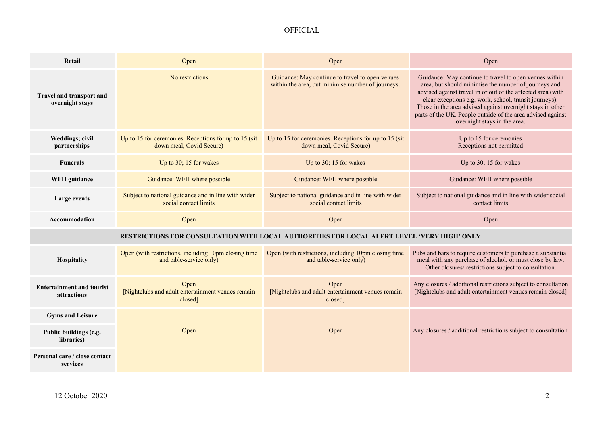## OFFICIAL

| Retail                                                                                      | Open                                                                              | Open                                                                                                 | Open                                                                                                                                                                                                                                                                                                                                                                                                 |  |
|---------------------------------------------------------------------------------------------|-----------------------------------------------------------------------------------|------------------------------------------------------------------------------------------------------|------------------------------------------------------------------------------------------------------------------------------------------------------------------------------------------------------------------------------------------------------------------------------------------------------------------------------------------------------------------------------------------------------|--|
| Travel and transport and<br>overnight stays                                                 | No restrictions                                                                   | Guidance: May continue to travel to open venues<br>within the area, but minimise number of journeys. | Guidance: May continue to travel to open venues within<br>area, but should minimise the number of journeys and<br>advised against travel in or out of the affected area (with<br>clear exceptions e.g. work, school, transit journeys).<br>Those in the area advised against overnight stays in other<br>parts of the UK. People outside of the area advised against<br>overnight stays in the area. |  |
| Weddings; civil<br>partnerships                                                             | Up to 15 for ceremonies. Receptions for up to 15 (sit<br>down meal, Covid Secure) | Up to 15 for ceremonies. Receptions for up to 15 (sit<br>down meal, Covid Secure)                    | Up to 15 for ceremonies<br>Receptions not permitted                                                                                                                                                                                                                                                                                                                                                  |  |
| <b>Funerals</b>                                                                             | Up to 30; 15 for wakes                                                            | Up to 30; 15 for wakes                                                                               | Up to 30; 15 for wakes                                                                                                                                                                                                                                                                                                                                                                               |  |
| WFH guidance                                                                                | Guidance: WFH where possible                                                      | Guidance: WFH where possible                                                                         | Guidance: WFH where possible                                                                                                                                                                                                                                                                                                                                                                         |  |
| Large events                                                                                | Subject to national guidance and in line with wider<br>social contact limits      | Subject to national guidance and in line with wider<br>social contact limits                         | Subject to national guidance and in line with wider social<br>contact limits                                                                                                                                                                                                                                                                                                                         |  |
| Accommodation                                                                               | Open                                                                              | Open                                                                                                 | Open                                                                                                                                                                                                                                                                                                                                                                                                 |  |
| RESTRICTIONS FOR CONSULTATION WITH LOCAL AUTHORITIES FOR LOCAL ALERT LEVEL 'VERY HIGH' ONLY |                                                                                   |                                                                                                      |                                                                                                                                                                                                                                                                                                                                                                                                      |  |
| Hospitality                                                                                 | Open (with restrictions, including 10pm closing time<br>and table-service only)   | Open (with restrictions, including 10pm closing time<br>and table-service only)                      | Pubs and bars to require customers to purchase a substantial<br>meal with any purchase of alcohol, or must close by law.<br>Other closures/ restrictions subject to consultation.                                                                                                                                                                                                                    |  |
| <b>Entertainment and tourist</b><br>attractions                                             | Open<br>[Nightclubs and adult entertainment venues remain<br>closed]              | Open<br>[Nightclubs and adult entertainment venues remain<br>closed]                                 | Any closures / additional restrictions subject to consultation<br>[Nightclubs and adult entertainment venues remain closed]                                                                                                                                                                                                                                                                          |  |
| <b>Gyms and Leisure</b>                                                                     |                                                                                   |                                                                                                      |                                                                                                                                                                                                                                                                                                                                                                                                      |  |
| Public buildings (e.g.<br>libraries)                                                        | Open                                                                              | Open                                                                                                 | Any closures / additional restrictions subject to consultation                                                                                                                                                                                                                                                                                                                                       |  |
| Personal care / close contact<br>services                                                   |                                                                                   |                                                                                                      |                                                                                                                                                                                                                                                                                                                                                                                                      |  |